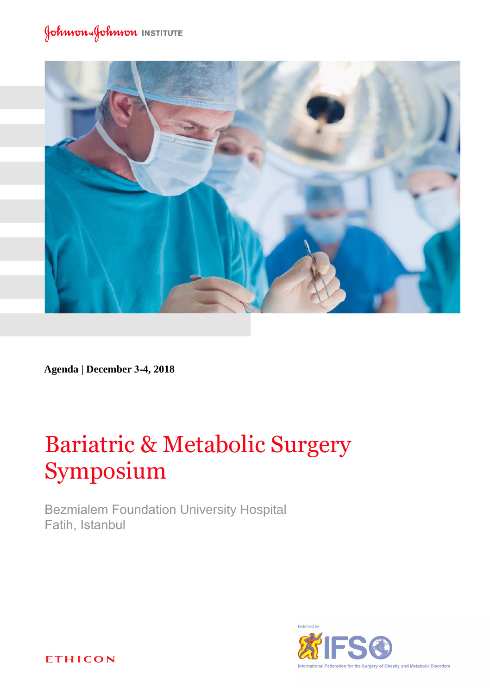### Johnson Johnson INSTITUTE



**Agenda | December 3-4, 2018**

# Bariatric & Metabolic Surgery Symposium

Bezmialem Foundation University Hospital Fatih, Istanbul



**ETHICON**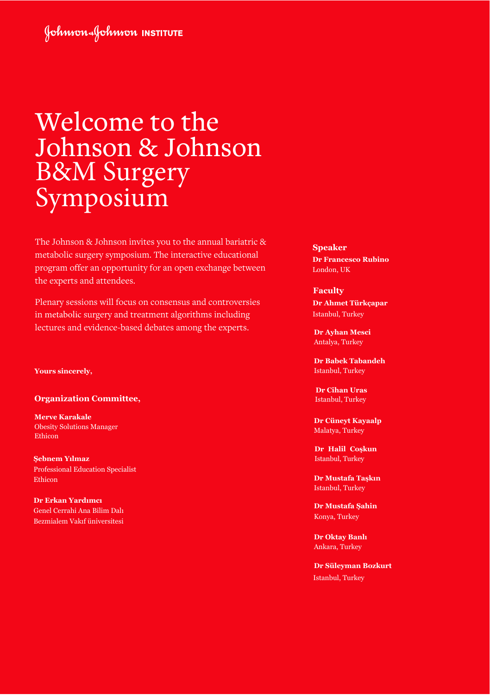### Johnson Johnson INSTITUTE

## Welcome to the Johnson & Johnson B&M Surgery Symposium

The Johnson & Johnson invites you to the annual bariatric & metabolic surgery symposium. The interactive educational program offer an opportunity for an open exchange between the experts and attendees.

Plenary sessions will focus on consensus and controversies in metabolic surgery and treatment algorithms including lectures and evidence-based debates among the experts.

**Yours sincerely,**

**Organization Committee,**

**Merve Karakale** Obesity Solutions Manager Ethicon

**Şebnem Yılmaz**  Professional Education Specialist Ethicon

**Dr Erkan Yardımcı** Genel Cerrahi Ana Bilim Dalı Bezmialem Vakıf üniversitesi **Speaker Dr Francesco Rubino**  London, UK

#### **Faculty**

**Dr Ahmet Türkçapar** Istanbul, Turkey

**Dr Ayhan Mesci** Antalya, Turkey

**Dr Babek Tabandeh**  Istanbul, Turkey

 **Dr Cihan Uras** Istanbul, Turkey

**Dr Cüneyt Kayaalp** Malatya, Turkey

**Dr Halil Coşkun**  Istanbul, Turkey

**Dr Mustafa Taşkın** Istanbul, Turkey

**Dr Mustafa Şahin** Konya, Turkey

**Dr Oktay Banlı**  Ankara, Turkey

**Dr Süleyman Bozkurt** Istanbul, Turkey